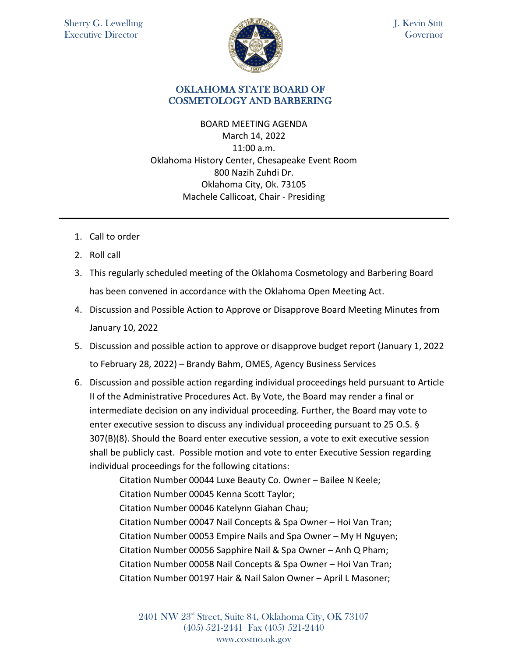

J. Kevin Stitt **Governor** 

## OKLAHOMA STATE BOARD OF COSMETOLOGY AND BARBERING

BOARD MEETING AGENDA March 14, 2022 11:00 a.m. Oklahoma History Center, Chesapeake Event Room 800 Nazih Zuhdi Dr. Oklahoma City, Ok. 73105 Machele Callicoat, Chair - Presiding

- 1. Call to order
- 2. Roll call
- 3. This regularly scheduled meeting of the Oklahoma Cosmetology and Barbering Board has been convened in accordance with the Oklahoma Open Meeting Act.
- 4. Discussion and Possible Action to Approve or Disapprove Board Meeting Minutes from January 10, 2022
- 5. Discussion and possible action to approve or disapprove budget report (January 1, 2022 to February 28, 2022) – Brandy Bahm, OMES, Agency Business Services
- 6. Discussion and possible action regarding individual proceedings held pursuant to Article II of the Administrative Procedures Act. By Vote, the Board may render a final or intermediate decision on any individual proceeding. Further, the Board may vote to enter executive session to discuss any individual proceeding pursuant to 25 O.S. § 307(B)(8). Should the Board enter executive session, a vote to exit executive session shall be publicly cast. Possible motion and vote to enter Executive Session regarding individual proceedings for the following citations:

Citation Number 00044 Luxe Beauty Co. Owner – Bailee N Keele; Citation Number 00045 Kenna Scott Taylor; Citation Number 00046 Katelynn Giahan Chau; Citation Number 00047 Nail Concepts & Spa Owner – Hoi Van Tran; Citation Number 00053 Empire Nails and Spa Owner – My H Nguyen; Citation Number 00056 Sapphire Nail & Spa Owner – Anh Q Pham; Citation Number 00058 Nail Concepts & Spa Owner – Hoi Van Tran; Citation Number 00197 Hair & Nail Salon Owner – April L Masoner;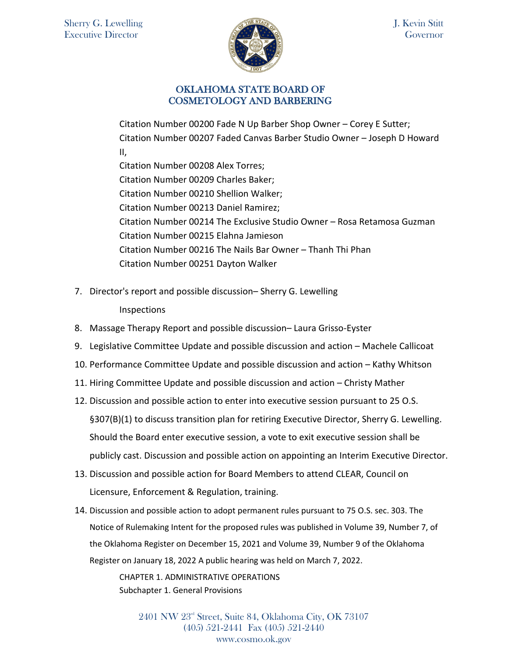

## OKLAHOMA STATE BOARD OF COSMETOLOGY AND BARBERING

Citation Number 00200 Fade N Up Barber Shop Owner – Corey E Sutter; Citation Number 00207 Faded Canvas Barber Studio Owner – Joseph D Howard II,

Citation Number 00208 Alex Torres; Citation Number 00209 Charles Baker; Citation Number 00210 Shellion Walker; Citation Number 00213 Daniel Ramirez; Citation Number 00214 The Exclusive Studio Owner – Rosa Retamosa Guzman Citation Number 00215 Elahna Jamieson Citation Number 00216 The Nails Bar Owner – Thanh Thi Phan Citation Number 00251 Dayton Walker

7. Director's report and possible discussion– Sherry G. Lewelling

Inspections

- 8. Massage Therapy Report and possible discussion– Laura Grisso-Eyster
- 9. Legislative Committee Update and possible discussion and action Machele Callicoat
- 10. Performance Committee Update and possible discussion and action Kathy Whitson
- 11. Hiring Committee Update and possible discussion and action Christy Mather
- 12. Discussion and possible action to enter into executive session pursuant to 25 O.S. §307(B)(1) to discuss transition plan for retiring Executive Director, Sherry G. Lewelling. Should the Board enter executive session, a vote to exit executive session shall be publicly cast. Discussion and possible action on appointing an Interim Executive Director.
- 13. Discussion and possible action for Board Members to attend CLEAR, Council on Licensure, Enforcement & Regulation, training.
- 14. Discussion and possible action to adopt permanent rules pursuant to 75 O.S. sec. 303. The Notice of Rulemaking Intent for the proposed rules was published in Volume 39, Number 7, of the Oklahoma Register on December 15, 2021 and Volume 39, Number 9 of the Oklahoma Register on January 18, 2022 A public hearing was held on March 7, 2022.

CHAPTER 1. ADMINISTRATIVE OPERATIONS Subchapter 1. General Provisions